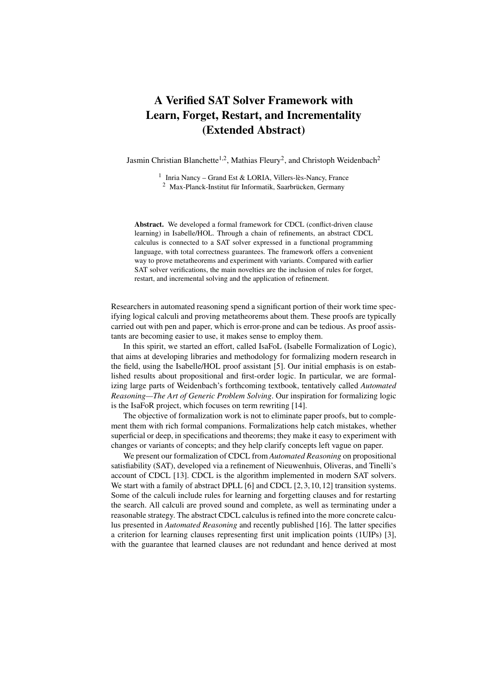## A Verified SAT Solver Framework with Learn, Forget, Restart, and Incrementality (Extended Abstract)

Jasmin Christian Blanchette<sup>1,2</sup>, Mathias Fleury<sup>2</sup>, and Christoph Weidenbach<sup>2</sup>

<sup>1</sup> Inria Nancy - Grand Est & LORIA, Villers-lès-Nancy, France <sup>2</sup> Max-Planck-Institut für Informatik, Saarbrücken, Germany

Abstract. We developed a formal framework for CDCL (conflict-driven clause learning) in Isabelle/HOL. Through a chain of refinements, an abstract CDCL calculus is connected to a SAT solver expressed in a functional programming language, with total correctness guarantees. The framework offers a convenient way to prove metatheorems and experiment with variants. Compared with earlier SAT solver verifications, the main novelties are the inclusion of rules for forget, restart, and incremental solving and the application of refinement.

Researchers in automated reasoning spend a significant portion of their work time specifying logical calculi and proving metatheorems about them. These proofs are typically carried out with pen and paper, which is error-prone and can be tedious. As proof assistants are becoming easier to use, it makes sense to employ them.

In this spirit, we started an effort, called IsaFoL (Isabelle Formalization of Logic), that aims at developing libraries and methodology for formalizing modern research in the field, using the Isabelle/HOL proof assistant [\[5\]](#page-1-0). Our initial emphasis is on established results about propositional and first-order logic. In particular, we are formalizing large parts of Weidenbach's forthcoming textbook, tentatively called *Automated Reasoning—The Art of Generic Problem Solving*. Our inspiration for formalizing logic is the IsaFoR project, which focuses on term rewriting [\[14\]](#page-2-0).

The objective of formalization work is not to eliminate paper proofs, but to complement them with rich formal companions. Formalizations help catch mistakes, whether superficial or deep, in specifications and theorems; they make it easy to experiment with changes or variants of concepts; and they help clarify concepts left vague on paper.

We present our formalization of CDCL from *Automated Reasoning* on propositional satisfiability (SAT), developed via a refinement of Nieuwenhuis, Oliveras, and Tinelli's account of CDCL [\[13\]](#page-2-1). CDCL is the algorithm implemented in modern SAT solvers. We start with a family of abstract DPLL [\[6\]](#page-1-1) and CDCL [\[2,](#page-1-2) [3,](#page-1-3) [10,](#page-2-2) [12\]](#page-2-3) transition systems. Some of the calculi include rules for learning and forgetting clauses and for restarting the search. All calculi are proved sound and complete, as well as terminating under a reasonable strategy. The abstract CDCL calculus is refined into the more concrete calculus presented in *Automated Reasoning* and recently published [\[16\]](#page-2-4). The latter specifies a criterion for learning clauses representing first unit implication points (1UIPs) [\[3\]](#page-1-3), with the guarantee that learned clauses are not redundant and hence derived at most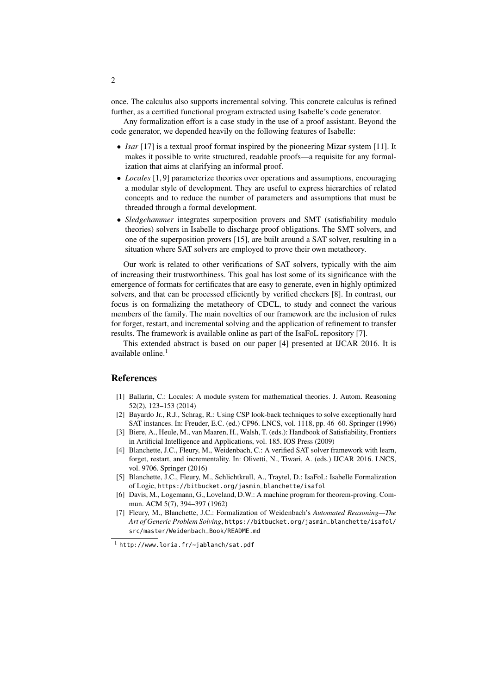once. The calculus also supports incremental solving. This concrete calculus is refined further, as a certified functional program extracted using Isabelle's code generator.

Any formalization effort is a case study in the use of a proof assistant. Beyond the code generator, we depended heavily on the following features of Isabelle:

- *Isar* [\[17\]](#page-2-5) is a textual proof format inspired by the pioneering Mizar system [\[11\]](#page-2-6). It makes it possible to write structured, readable proofs—a requisite for any formalization that aims at clarifying an informal proof.
- *Locales* [\[1,](#page-1-4) [9\]](#page-2-7) parameterize theories over operations and assumptions, encouraging a modular style of development. They are useful to express hierarchies of related concepts and to reduce the number of parameters and assumptions that must be threaded through a formal development.
- *Sledgehammer* integrates superposition provers and SMT (satisfiability modulo theories) solvers in Isabelle to discharge proof obligations. The SMT solvers, and one of the superposition provers [\[15\]](#page-2-8), are built around a SAT solver, resulting in a situation where SAT solvers are employed to prove their own metatheory.

Our work is related to other verifications of SAT solvers, typically with the aim of increasing their trustworthiness. This goal has lost some of its significance with the emergence of formats for certificates that are easy to generate, even in highly optimized solvers, and that can be processed efficiently by verified checkers [\[8\]](#page-2-9). In contrast, our focus is on formalizing the metatheory of CDCL, to study and connect the various members of the family. The main novelties of our framework are the inclusion of rules for forget, restart, and incremental solving and the application of refinement to transfer results. The framework is available online as part of the IsaFoL repository [\[7\]](#page-1-5).

This extended abstract is based on our paper [\[4\]](#page-1-6) presented at IJCAR 2016. It is available online.<sup>[1](#page-1-7)</sup>

## References

- <span id="page-1-4"></span>[1] Ballarin, C.: Locales: A module system for mathematical theories. J. Autom. Reasoning 52(2), 123–153 (2014)
- <span id="page-1-2"></span>[2] Bayardo Jr., R.J., Schrag, R.: Using CSP look-back techniques to solve exceptionally hard SAT instances. In: Freuder, E.C. (ed.) CP96. LNCS, vol. 1118, pp. 46–60. Springer (1996)
- <span id="page-1-3"></span>[3] Biere, A., Heule, M., van Maaren, H., Walsh, T. (eds.): Handbook of Satisfiability, Frontiers in Artificial Intelligence and Applications, vol. 185. IOS Press (2009)
- <span id="page-1-6"></span>[4] Blanchette, J.C., Fleury, M., Weidenbach, C.: A verified SAT solver framework with learn, forget, restart, and incrementality. In: Olivetti, N., Tiwari, A. (eds.) IJCAR 2016. LNCS, vol. 9706. Springer (2016)
- <span id="page-1-0"></span>[5] Blanchette, J.C., Fleury, M., Schlichtkrull, A., Traytel, D.: IsaFoL: Isabelle Formalization of Logic, [https://bitbucket.org/jasmin\\_blanchette/isafol](https://bitbucket.org/jasmin_blanchette/isafol)
- <span id="page-1-1"></span>[6] Davis, M., Logemann, G., Loveland, D.W.: A machine program for theorem-proving. Commun. ACM 5(7), 394–397 (1962)
- <span id="page-1-5"></span>[7] Fleury, M., Blanchette, J.C.: Formalization of Weidenbach's *Automated Reasoning—The Art of Generic Problem Solving*, [https://bitbucket.org/jasmin\\_blanchette/isafol/](https://bitbucket.org/jasmin_blanchette/isafol/src/master/Weidenbach_Book/README.md) [src/master/Weidenbach\\_Book/README.md](https://bitbucket.org/jasmin_blanchette/isafol/src/master/Weidenbach_Book/README.md)

<span id="page-1-7"></span><sup>1</sup> <http://www.loria.fr/~jablanch/sat.pdf>